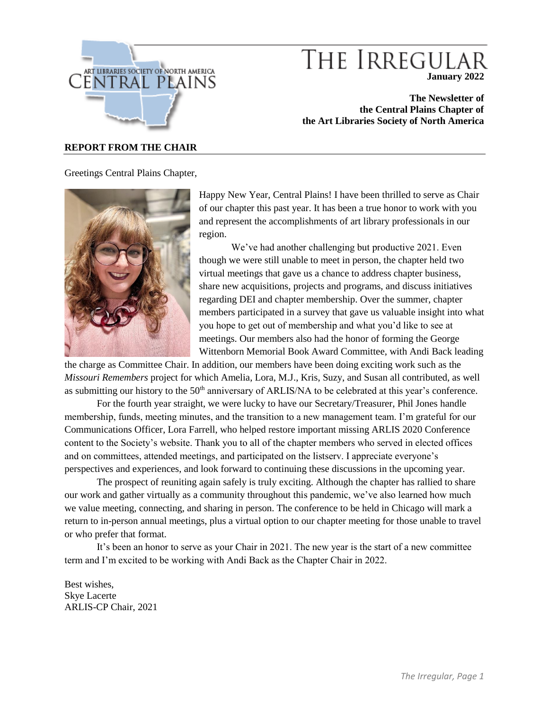

# THE IRREGULAR **January 2022**

**The Newsletter of the Central Plains Chapter of the Art Libraries Society of North America**

#### **REPORT FROM THE CHAIR**

Greetings Central Plains Chapter,



Happy New Year, Central Plains! I have been thrilled to serve as Chair of our chapter this past year. It has been a true honor to work with you and represent the accomplishments of art library professionals in our region.

We've had another challenging but productive 2021. Even though we were still unable to meet in person, the chapter held two virtual meetings that gave us a chance to address chapter business, share new acquisitions, projects and programs, and discuss initiatives regarding DEI and chapter membership. Over the summer, chapter members participated in a survey that gave us valuable insight into what you hope to get out of membership and what you'd like to see at meetings. Our members also had the honor of forming the George Wittenborn Memorial Book Award Committee, with Andi Back leading

the charge as Committee Chair. In addition, our members have been doing exciting work such as the *Missouri Remembers* project for which Amelia, Lora, M.J., Kris, Suzy, and Susan all contributed, as well as submitting our history to the 50<sup>th</sup> anniversary of ARLIS/NA to be celebrated at this year's conference.

For the fourth year straight, we were lucky to have our Secretary/Treasurer, Phil Jones handle membership, funds, meeting minutes, and the transition to a new management team. I'm grateful for our Communications Officer, Lora Farrell, who helped restore important missing ARLIS 2020 Conference content to the Society's website. Thank you to all of the chapter members who served in elected offices and on committees, attended meetings, and participated on the listserv. I appreciate everyone's perspectives and experiences, and look forward to continuing these discussions in the upcoming year.

The prospect of reuniting again safely is truly exciting. Although the chapter has rallied to share our work and gather virtually as a community throughout this pandemic, we've also learned how much we value meeting, connecting, and sharing in person. The conference to be held in Chicago will mark a return to in-person annual meetings, plus a virtual option to our chapter meeting for those unable to travel or who prefer that format.

It's been an honor to serve as your Chair in 2021. The new year is the start of a new committee term and I'm excited to be working with Andi Back as the Chapter Chair in 2022.

Best wishes, Skye Lacerte ARLIS-CP Chair, 2021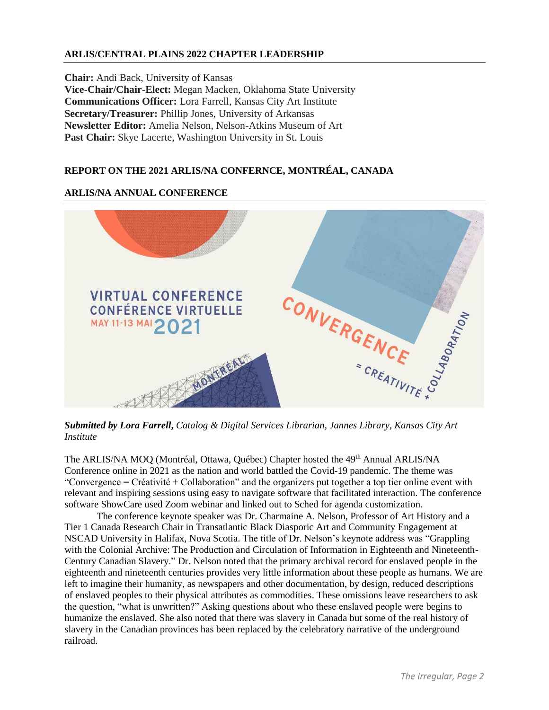# **ARLIS/CENTRAL PLAINS 2022 CHAPTER LEADERSHIP**

**Chair:** Andi Back, University of Kansas **Vice-Chair/Chair-Elect:** Megan Macken, Oklahoma State University **Communications Officer:** Lora Farrell, Kansas City Art Institute **Secretary/Treasurer:** Phillip Jones, University of Arkansas **Newsletter Editor:** Amelia Nelson, Nelson-Atkins Museum of Art Past Chair: Skye Lacerte, Washington University in St. Louis

# **REPORT ON THE 2021 ARLIS/NA CONFERNCE, MONTRÉAL, CANADA**

## **ARLIS/NA ANNUAL CONFERENCE**



*Submitted by Lora Farrell***,** *Catalog & Digital Services Librarian, Jannes Library, Kansas City Art Institute*

The ARLIS/NA MOQ (Montréal, Ottawa, Québec) Chapter hosted the 49<sup>th</sup> Annual ARLIS/NA Conference online in 2021 as the nation and world battled the Covid-19 pandemic. The theme was "Convergence = Créativité + Collaboration" and the organizers put together a top tier online event with relevant and inspiring sessions using easy to navigate software that facilitated interaction. The conference software ShowCare used Zoom webinar and linked out to Sched for agenda customization.

The conference keynote speaker was Dr. Charmaine A. Nelson, Professor of Art History and a Tier 1 Canada Research Chair in Transatlantic Black Diasporic Art and Community Engagement at NSCAD University in Halifax, Nova Scotia. The title of Dr. Nelson's keynote address was "Grappling with the Colonial Archive: The Production and Circulation of Information in Eighteenth and Nineteenth-Century Canadian Slavery." Dr. Nelson noted that the primary archival record for enslaved people in the eighteenth and nineteenth centuries provides very little information about these people as humans. We are left to imagine their humanity, as newspapers and other documentation, by design, reduced descriptions of enslaved peoples to their physical attributes as commodities. These omissions leave researchers to ask the question, "what is unwritten?" Asking questions about who these enslaved people were begins to humanize the enslaved. She also noted that there was slavery in Canada but some of the real history of slavery in the Canadian provinces has been replaced by the celebratory narrative of the underground railroad.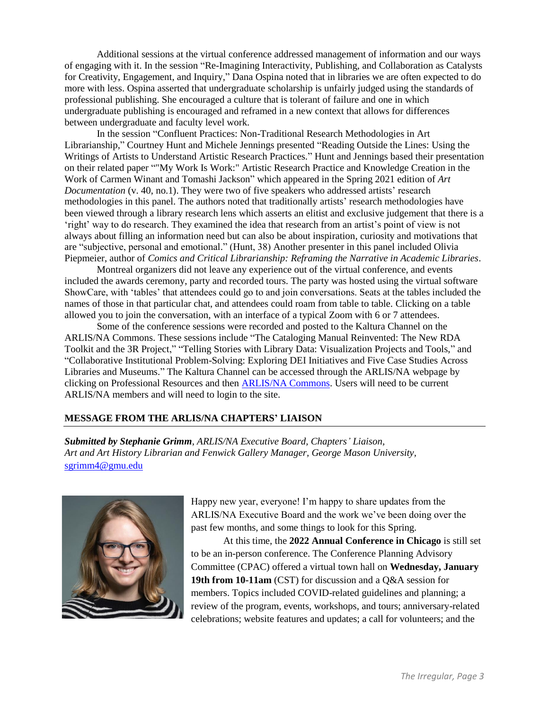Additional sessions at the virtual conference addressed management of information and our ways of engaging with it. In the session "Re-Imagining Interactivity, Publishing, and Collaboration as Catalysts for Creativity, Engagement, and Inquiry," Dana Ospina noted that in libraries we are often expected to do more with less. Ospina asserted that undergraduate scholarship is unfairly judged using the standards of professional publishing. She encouraged a culture that is tolerant of failure and one in which undergraduate publishing is encouraged and reframed in a new context that allows for differences between undergraduate and faculty level work.

In the session "Confluent Practices: Non-Traditional Research Methodologies in Art Librarianship," Courtney Hunt and Michele Jennings presented "Reading Outside the Lines: Using the Writings of Artists to Understand Artistic Research Practices." Hunt and Jennings based their presentation on their related paper ""My Work Is Work:" Artistic Research Practice and Knowledge Creation in the Work of Carmen Winant and Tomashi Jackson" which appeared in the Spring 2021 edition of *Art Documentation* (v. 40, no.1). They were two of five speakers who addressed artists' research methodologies in this panel. The authors noted that traditionally artists' research methodologies have been viewed through a library research lens which asserts an elitist and exclusive judgement that there is a 'right' way to do research. They examined the idea that research from an artist's point of view is not always about filling an information need but can also be about inspiration, curiosity and motivations that are "subjective, personal and emotional." (Hunt, 38) Another presenter in this panel included Olivia Piepmeier, author of *Comics and Critical Librarianship: Reframing the Narrative in Academic Libraries*.

Montreal organizers did not leave any experience out of the virtual conference, and events included the awards ceremony, party and recorded tours. The party was hosted using the virtual software ShowCare, with 'tables' that attendees could go to and join conversations. Seats at the tables included the names of those in that particular chat, and attendees could roam from table to table. Clicking on a table allowed you to join the conversation, with an interface of a typical Zoom with 6 or 7 attendees.

Some of the conference sessions were recorded and posted to the Kaltura Channel on the ARLIS/NA Commons. These sessions include "The Cataloging Manual Reinvented: The New RDA Toolkit and the 3R Project," "Telling Stories with Library Data: Visualization Projects and Tools," and "Collaborative Institutional Problem-Solving: Exploring DEI Initiatives and Five Case Studies Across Libraries and Museums." The Kaltura Channel can be accessed through the ARLIS/NA webpage by clicking on Professional Resources and then [ARLIS/NA Commons.](https://www.arlisna.org/ARLIS_NA_Commons) Users will need to be current ARLIS/NA members and will need to login to the site.

#### **MESSAGE FROM THE ARLIS/NA CHAPTERS' LIAISON**

*Submitted by Stephanie Grimm*, *ARLIS/NA Executive Board, Chapters' Liaison, Art and Art History Librarian and Fenwick Gallery Manager, George Mason University,*  [sgrimm4@gmu.edu](mailto:sgrimm4@gmu.edu)



Happy new year, everyone! I'm happy to share updates from the ARLIS/NA Executive Board and the work we've been doing over the past few months, and some things to look for this Spring.

At this time, the **2022 Annual Conference in Chicago** is still set to be an in-person conference. The Conference Planning Advisory Committee (CPAC) offered a virtual town hall on **Wednesday, January 19th from 10-11am** (CST) for discussion and a Q&A session for members. Topics included COVID-related guidelines and planning; a review of the program, events, workshops, and tours; anniversary-related celebrations; website features and updates; a call for volunteers; and the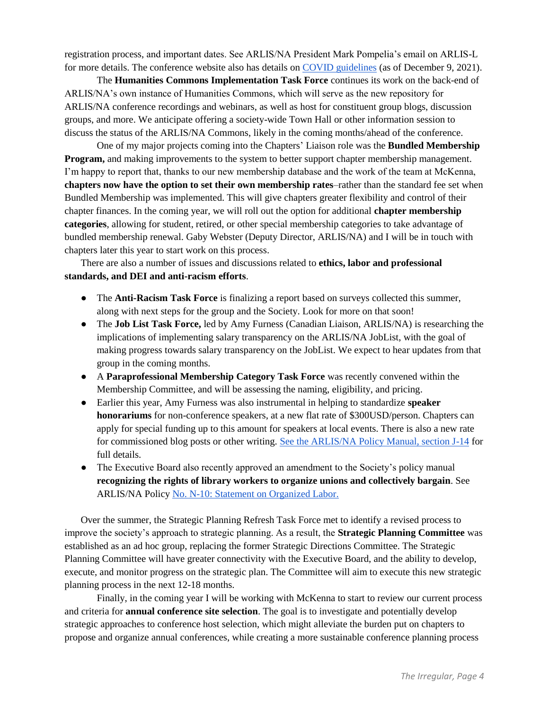registration process, and important dates. See ARLIS/NA President Mark Pompelia's email on ARLIS-L for more details. The conference website also has details on [COVID guidelines](https://www.arlisna.org/news/covid-guidelines-and-precautions) (as of December 9, 2021).

The **Humanities Commons Implementation Task Force** continues its work on the back-end of ARLIS/NA's own instance of Humanities Commons, which will serve as the new repository for ARLIS/NA conference recordings and webinars, as well as host for constituent group blogs, discussion groups, and more. We anticipate offering a society-wide Town Hall or other information session to discuss the status of the ARLIS/NA Commons, likely in the coming months/ahead of the conference.

One of my major projects coming into the Chapters' Liaison role was the **Bundled Membership Program,** and making improvements to the system to better support chapter membership management. I'm happy to report that, thanks to our new membership database and the work of the team at McKenna, **chapters now have the option to set their own membership rates**–rather than the standard fee set when Bundled Membership was implemented. This will give chapters greater flexibility and control of their chapter finances. In the coming year, we will roll out the option for additional **chapter membership categories**, allowing for student, retired, or other special membership categories to take advantage of bundled membership renewal. Gaby Webster (Deputy Director, ARLIS/NA) and I will be in touch with chapters later this year to start work on this process.

There are also a number of issues and discussions related to **ethics, labor and professional standards, and DEI and anti-racism efforts**.

- The **Anti-Racism Task Force** is finalizing a report based on surveys collected this summer, along with next steps for the group and the Society. Look for more on that soon!
- The **Job List Task Force,** led by Amy Furness (Canadian Liaison, ARLIS/NA) is researching the implications of implementing salary transparency on the ARLIS/NA JobList, with the goal of making progress towards salary transparency on the JobList. We expect to hear updates from that group in the coming months.
- A **Paraprofessional Membership Category Task Force** was recently convened within the Membership Committee, and will be assessing the naming, eligibility, and pricing.
- Earlier this year, Amy Furness was also instrumental in helping to standardize **speaker honorariums** for non-conference speakers, at a new flat rate of \$300USD/person. Chapters can apply for special funding up to this amount for speakers at local events. There is also a new rate for commissioned blog posts or other writing. [See the ARLIS/NA Policy Manual, section J-14](https://www.arlisna.org/file/secure/20210921arlisnapolicymanual.pdf) for full details.
- The Executive Board also recently approved an amendment to the Society's policy manual **recognizing the rights of library workers to organize unions and collectively bargain**. See ARLIS/NA Policy [No. N-10: Statement on Organized Labor.](https://www.arlisna.org/file/secure/arlisnapolicymanual.pdf#page=86&zoom=100,38,740)

Over the summer, the Strategic Planning Refresh Task Force met to identify a revised process to improve the society's approach to strategic planning. As a result, the **Strategic Planning Committee** was established as an ad hoc group, replacing the former Strategic Directions Committee. The Strategic Planning Committee will have greater connectivity with the Executive Board, and the ability to develop, execute, and monitor progress on the strategic plan. The Committee will aim to execute this new strategic planning process in the next 12-18 months.

Finally, in the coming year I will be working with McKenna to start to review our current process and criteria for **annual conference site selection**. The goal is to investigate and potentially develop strategic approaches to conference host selection, which might alleviate the burden put on chapters to propose and organize annual conferences, while creating a more sustainable conference planning process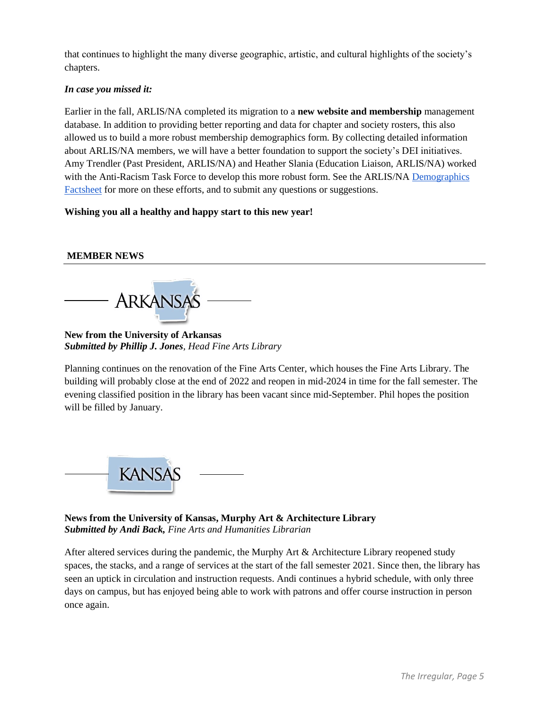that continues to highlight the many diverse geographic, artistic, and cultural highlights of the society's chapters.

## *In case you missed it:*

Earlier in the fall, ARLIS/NA completed its migration to a **new website and membership** management database. In addition to providing better reporting and data for chapter and society rosters, this also allowed us to build a more robust membership demographics form. By collecting detailed information about ARLIS/NA members, we will have a better foundation to support the society's DEI initiatives. Amy Trendler (Past President, ARLIS/NA) and Heather Slania (Education Liaison, ARLIS/NA) worked with the Anti-Racism Task Force to develop this more robust form. See the ARLIS/NA Demographics [Factsheet](https://www.arlisna.org/news/arlisna-demographics-factsheet) for more on these efforts, and to submit any questions or suggestions.

## **Wishing you all a healthy and happy start to this new year!**

# **MEMBER NEWS**

**ARKANSAS** 

**New from the University of Arkansas** *Submitted by Phillip J. Jones, Head Fine Arts Library*

Planning continues on the renovation of the Fine Arts Center, which houses the Fine Arts Library. The building will probably close at the end of 2022 and reopen in mid-2024 in time for the fall semester. The evening classified position in the library has been vacant since mid-September. Phil hopes the position will be filled by January.



**News from the University of Kansas, Murphy Art & Architecture Library** *Submitted by Andi Back, Fine Arts and Humanities Librarian*

After altered services during the pandemic, the Murphy Art & Architecture Library reopened study spaces, the stacks, and a range of services at the start of the fall semester 2021. Since then, the library has seen an uptick in circulation and instruction requests. Andi continues a hybrid schedule, with only three days on campus, but has enjoyed being able to work with patrons and offer course instruction in person once again.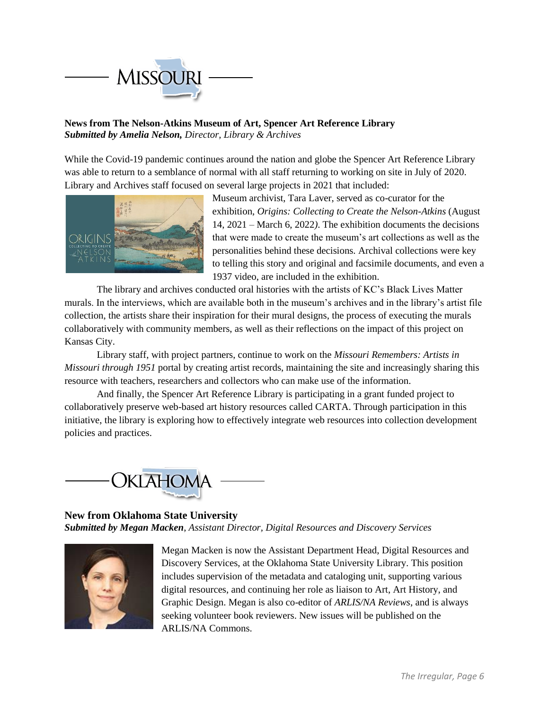

# **News from The Nelson-Atkins Museum of Art, Spencer Art Reference Library** *Submitted by Amelia Nelson, Director, Library & Archives*

While the Covid-19 pandemic continues around the nation and globe the Spencer Art Reference Library was able to return to a semblance of normal with all staff returning to working on site in July of 2020. Library and Archives staff focused on several large projects in 2021 that included:



Museum archivist, Tara Laver, served as co-curator for the exhibition, *Origins: Collecting to Create the Nelson-Atkins* (August 14, 2021 – March 6, 2022*)*. The exhibition documents the decisions that were made to create the museum's art collections as well as the personalities behind these decisions. Archival collections were key to telling this story and original and facsimile documents, and even a 1937 video, are included in the exhibition.

The library and archives conducted oral histories with the artists of KC's Black Lives Matter murals. In the interviews, which are available both in the museum's archives and in the library's artist file collection, the artists share their inspiration for their mural designs, the process of executing the murals collaboratively with community members, as well as their reflections on the impact of this project on Kansas City.

Library staff, with project partners, continue to work on the *Missouri Remembers: Artists in Missouri through 1951* portal by creating artist records, maintaining the site and increasingly sharing this resource with teachers, researchers and collectors who can make use of the information.

And finally, the Spencer Art Reference Library is participating in a grant funded project to collaboratively preserve web-based art history resources called CARTA. Through participation in this initiative, the library is exploring how to effectively integrate web resources into collection development policies and practices.



# **New from Oklahoma State University** *Submitted by Megan Macken*, *Assistant Director, Digital Resources and Discovery Services*



Megan Macken is now the Assistant Department Head, Digital Resources and Discovery Services, at the Oklahoma State University Library. This position includes supervision of the metadata and cataloging unit, supporting various digital resources, and continuing her role as liaison to Art, Art History, and Graphic Design. Megan is also co-editor of *ARLIS/NA Reviews*, and is always seeking volunteer book reviewers. New issues will be published on the ARLIS/NA Commons.